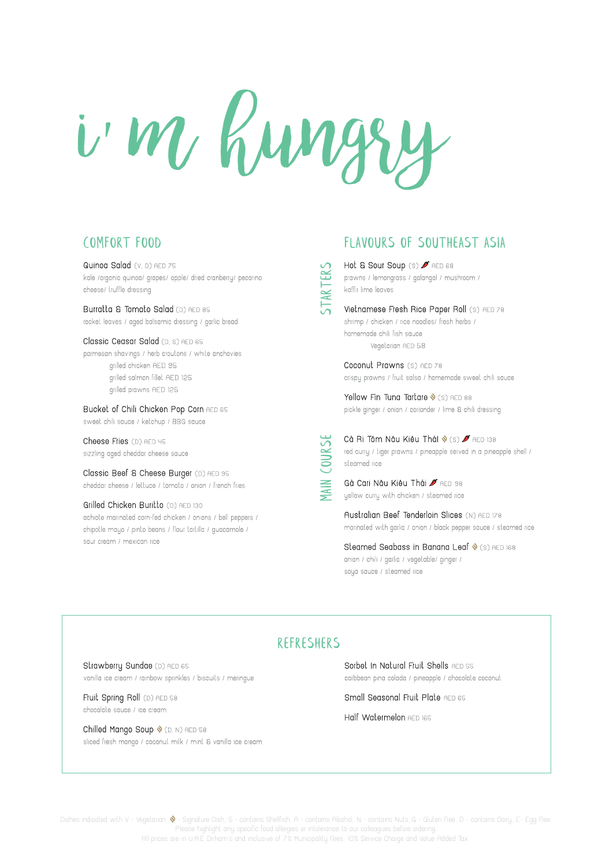

Dishes indicated with V - Vegetarian,  $\lozenge$  - Signature Dish, S - contains Shellfish, A - contains Alcohol, N - contains Nuts, G - Gluten Free, D - contains Dairy, E - Egg Free Please highlight any specific food allergies or intolerance to our colleagues before ordering All prices are in U.A.E Dirham's and inclusive of 7% Municipality Fees, 10% Service Charge and Value Added Tax.

Burratta & Tomato Salad (D) AED 85 rocket leaves / aged balsamic dressing / garlic bread

## Comfort Food

Bucket of Chili Chicken Pop Corn AED 65 sweet chili sauce / ketchup / BBQ sauce

Cheese Fries (D) AED 45 sizzling aged cheddar cheese sauce

Quinoa Salad (V, D) AED 75 kale /organic quinoa/ grapes/ apple/ dried cranberry/ pecorino cheese/ truffle dressing

> Cà Ri Tôm Nâu Kiêu TháI � (s) <del>A</del> AED 138<br>
> red curry / tiger prawns / pineapple served in a pine<br>
> steamed rice<br> **Gà Cari Nâu Kiêu Thái A** AED 98<br>
> yellow curry with chicken / steamed rice red curry / tiger prawns / pineapple served in a pineapple shell / steamed rice

Classic Ceasar Salad (D, S) AED 65 parmesan shavings / herb croutons / white anchovies grilled chicken AED 95 grilled salmon fillet AED 125 grilled prawns AED 125

> Gà Cari Nâu Kiêu Thái **A** AED 98 yellow curry with chicken / steamed rice

Steamed Seabass in Banana Leaf  $\Diamond$  (S) AED 168 onion / chili / garlic / vegetable/ ginger / soya sauce / steamed rice

Fruit Spring Roll (D) AED 58 chocolate sauce / ice cream

Chilled Mango Soup  $\Diamond$  (D, N) AED 58 sliced fresh mango / coconut milk / mint & vanilla ice cream

Classic Beef & Cheese Burger (D) AED 95 cheddar cheese / lettuce / tomato / onion / french fries

Grilled Chicken Buritto (D) AED 130 achiote marinated corn-fed chicken / onions / bell peppers / chipotle mayo / pinto beans / flour tortilla / guacamole / sour cream / mexican rice

> Sorbet In Natural Fruit Shells AED 55 carbbean pina colada / pineapple / chocolate coconut

Small Seasonal Fruit Plate AED 65

Hot & Sour Soup (S) FAED 68 prawns / lemongrass / galangal / mushroom / kaffir lime leaves

Yellow Fin Tuna Tartare  $\Diamond$  (s) AED 88 pickle ginger / onion / coriander / lime & chili dressing

Australian Beef Tenderloin Slices (N) AED 178 marinated with garlic / onion / black pepper sauce / steamed rice

## REFRESHERS

Strawberry Sundae (D) AED 65

vanilla ice cream / rainbow sprinkles / biscuits / meringue

Half Watermelon AED 165

starters

## FLAVOURS OF SOUTHEAST ASIA

Vietnamese Fresh Rice Paper Roll (S) AED 78 shrimp / chicken / rice noodles/ fresh herbs / homemade chili fish sauce Vegetarian AED 58

Coconut Prawns (S) AED 78 crispy prawns / fruit salsa / homemade sweet chili sauce